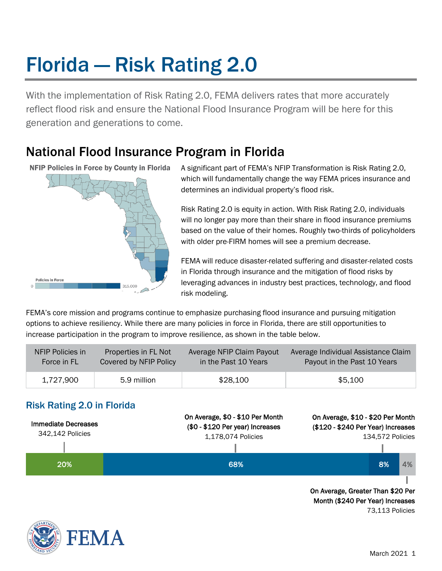# Florida — Risk Rating 2.0

With the implementation of Risk Rating 2.0, FEMA delivers rates that more accurately reflect flood risk and ensure the National Flood Insurance Program will be here for this generation and generations to come.

# National Flood Insurance Program in Florida

**NFIP Policies in Force by County in Florida** 



A significant part of FEMA's NFIP Transformation is Risk Rating 2.0, which will fundamentally change the way FEMA prices insurance and determines an individual property's flood risk.

Risk Rating 2.0 is equity in action. With Risk Rating 2.0, individuals will no longer pay more than their share in flood insurance premiums based on the value of their homes. Roughly two-thirds of policyholders with older pre-FIRM homes will see a premium decrease.

FEMA will reduce disaster-related suffering and disaster-related costs in Florida through insurance and the mitigation of flood risks by leveraging advances in industry best practices, technology, and flood risk modeling.

FEMA's core mission and programs continue to emphasize purchasing flood insurance and pursuing mitigation options to achieve resiliency. While there are many policies in force in Florida, there are still opportunities to increase participation in the program to improve resilience, as shown in the table below.

| NFIP Policies in | Properties in FL Not   | Average NFIP Claim Payout | Average Individual Assistance Claim |
|------------------|------------------------|---------------------------|-------------------------------------|
| Force in FL      | Covered by NFIP Policy | in the Past 10 Years      | Payout in the Past 10 Years         |
| 1.727.900        | 5.9 million            | \$28,100                  | \$5,100                             |

# Risk Rating 2.0 in Florida



73,113 Policies

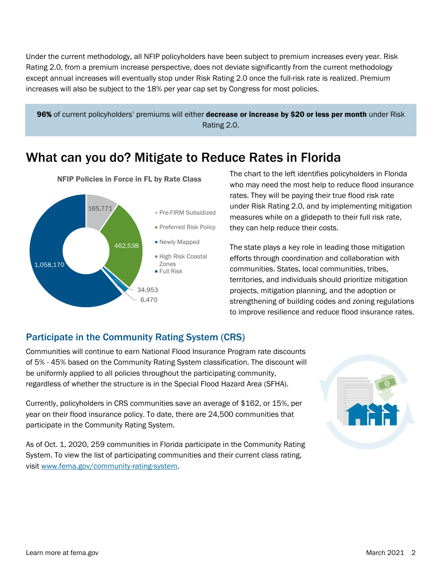Under the current methodology, all NFIP policyholders have been subject to premium increases every year. Risk Rating 2.0, from a premium increase perspective, does not deviate significantly from the current methodology except annual increases will eventually stop under Risk Rating 2.0 once the full-risk rate is realized. Premium increases will also be subject to the 18% per year cap set by Congress for most policies.



# What can you do? Mitigate to Reduce Rates in Florida



The chart to the left identifies policyholders in Florida who may need the most help to reduce flood insurance rates. They will be paying their true flood risk rate under Risk Rating 2.0, and by implementing mitigation measures while on a glidepath to their full risk rate, they can help reduce their costs.

The state plays a key role in leading those mitigation efforts through coordination and collaboration with communities. States, local communities, tribes, territories, and individuals should prioritize mitigation projects, mitigation planning, and the adoption or strengthening of building codes and zoning regulations to improve resilience and reduce flood insurance rates.

## Participate in the Community Rating System (CRS)

Communities will continue to earn National Flood Insurance Program rate discounts of 5% - 45% based on the Community Rating System classification. The discount will be uniformly applied to all policies throughout the participating community, regardless of whether the structure is in the Special Flood Hazard Area (SFHA).

Currently, policyholders in CRS communities save an average of \$162, or 15%, per year on their flood insurance policy. To date, there are 24,500 communities that participate in the Community Rating System.

As of Oct. 1, 2020, 259 communities in Florida participate in the Community Rating System. To view the list of participating communities and their current class rating, visit [www.fema.gov/community-rating-system.](http://www.fema.gov/community-rating-system)

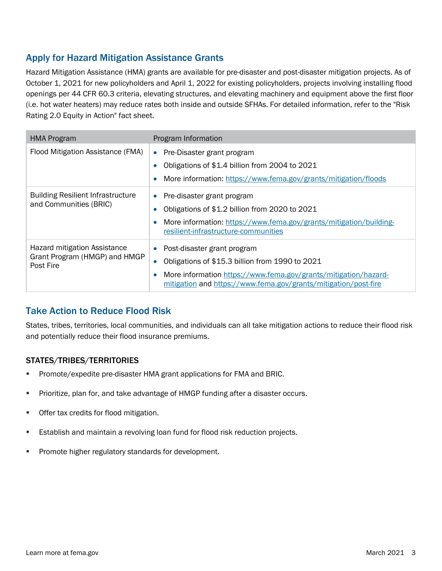## Apply for Hazard Mitigation Assistance Grants

Hazard Mitigation Assistance (HMA) grants are available for pre-disaster and post-disaster mitigation projects. As of October 1, 2021 for new policyholders and April 1, 2022 for existing policyholders, projects involving installing flood openings per 44 CFR 60.3 criteria, elevating structures, and elevating machinery and equipment above the first floor (i.e. hot water heaters) may reduce rates both inside and outside SFHAs. For detailed information, refer to the "Risk Rating 2.0 Equity in Action" fact sheet.

| <b>HMA Program</b>                                                         | Program Information                                                                                                                                                                                                  |
|----------------------------------------------------------------------------|----------------------------------------------------------------------------------------------------------------------------------------------------------------------------------------------------------------------|
| Flood Mitigation Assistance (FMA)                                          | Pre-Disaster grant program<br>$\bullet$<br>Obligations of \$1.4 billion from 2004 to 2021<br>More information: https://www.fema.gov/grants/mitigation/floods                                                         |
| <b>Building Resilient Infrastructure</b><br>and Communities (BRIC)         | Pre-disaster grant program<br>$\bullet$<br>Obligations of \$1.2 billion from 2020 to 2021<br>More information: https://www.fema.gov/grants/mitigation/building-<br>resilient-infrastructure-communities              |
| Hazard mitigation Assistance<br>Grant Program (HMGP) and HMGP<br>Post Fire | Post-disaster grant program<br>Obligations of \$15.3 billion from 1990 to 2021<br>More information https://www.fema.gov/grants/mitigation/hazard-<br>mitigation and https://www.fema.gov/grants/mitigation/post-fire |

## Take Action to Reduce Flood Risk

States, tribes, territories, local communities, and individuals can all take mitigation actions to reduce their flood risk and potentially reduce their flood insurance premiums.

#### STATES/TRIBES/TERRITORIES

- **Promote/expedite pre-disaster HMA grant applications for FMA and BRIC.**
- **Prioritize, plan for, and take advantage of HMGP funding after a disaster occurs.**
- **Offer tax credits for flood mitigation.**
- **Establish and maintain a revolving loan fund for flood risk reduction projects.**
- **Promote higher regulatory standards for development.**